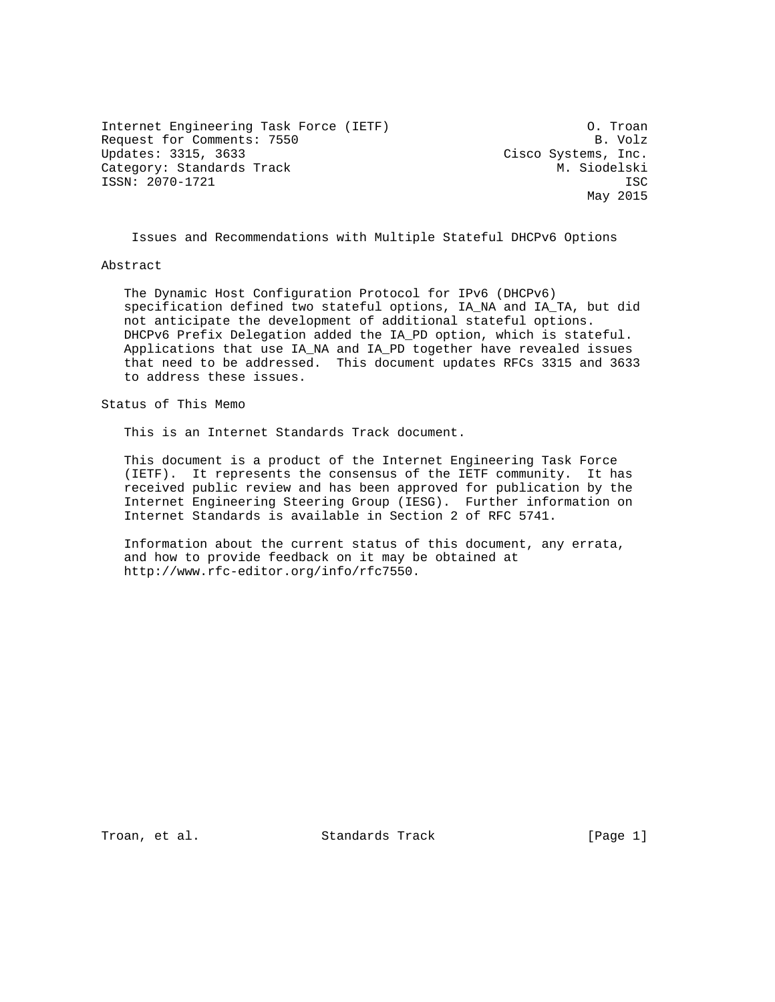Internet Engineering Task Force (IETF) O. Troan Request for Comments: 7550 B. Volz<br>Updates: 3315, 3633 Cisco Systems, Inc. Category: Standards Track M. Siodelski ISSN: 2070-1721 ISC

Cisco Systems, Inc. May 2015

Issues and Recommendations with Multiple Stateful DHCPv6 Options

## Abstract

 The Dynamic Host Configuration Protocol for IPv6 (DHCPv6) specification defined two stateful options, IA\_NA and IA\_TA, but did not anticipate the development of additional stateful options. DHCPv6 Prefix Delegation added the IA\_PD option, which is stateful. Applications that use IA\_NA and IA\_PD together have revealed issues that need to be addressed. This document updates RFCs 3315 and 3633 to address these issues.

Status of This Memo

This is an Internet Standards Track document.

 This document is a product of the Internet Engineering Task Force (IETF). It represents the consensus of the IETF community. It has received public review and has been approved for publication by the Internet Engineering Steering Group (IESG). Further information on Internet Standards is available in Section 2 of RFC 5741.

 Information about the current status of this document, any errata, and how to provide feedback on it may be obtained at http://www.rfc-editor.org/info/rfc7550.

Troan, et al. Standards Track [Page 1]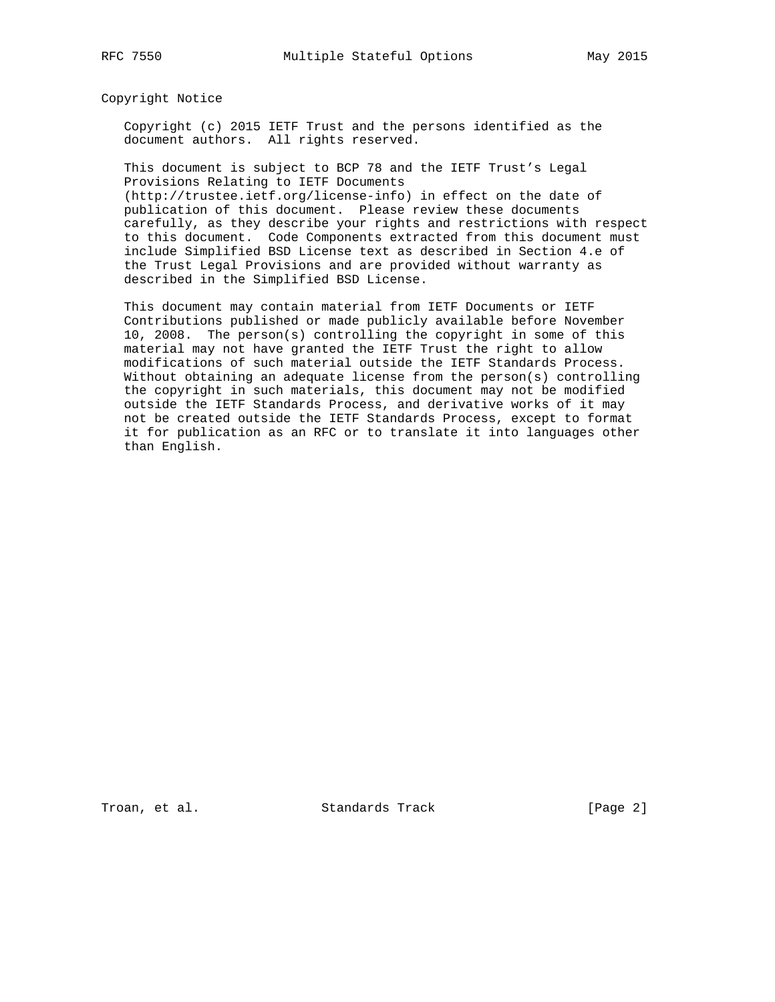Copyright Notice

 Copyright (c) 2015 IETF Trust and the persons identified as the document authors. All rights reserved.

 This document is subject to BCP 78 and the IETF Trust's Legal Provisions Relating to IETF Documents (http://trustee.ietf.org/license-info) in effect on the date of publication of this document. Please review these documents carefully, as they describe your rights and restrictions with respect

 to this document. Code Components extracted from this document must include Simplified BSD License text as described in Section 4.e of the Trust Legal Provisions and are provided without warranty as described in the Simplified BSD License.

 This document may contain material from IETF Documents or IETF Contributions published or made publicly available before November 10, 2008. The person(s) controlling the copyright in some of this material may not have granted the IETF Trust the right to allow modifications of such material outside the IETF Standards Process. Without obtaining an adequate license from the person(s) controlling the copyright in such materials, this document may not be modified outside the IETF Standards Process, and derivative works of it may not be created outside the IETF Standards Process, except to format it for publication as an RFC or to translate it into languages other than English.

Troan, et al. Standards Track [Page 2]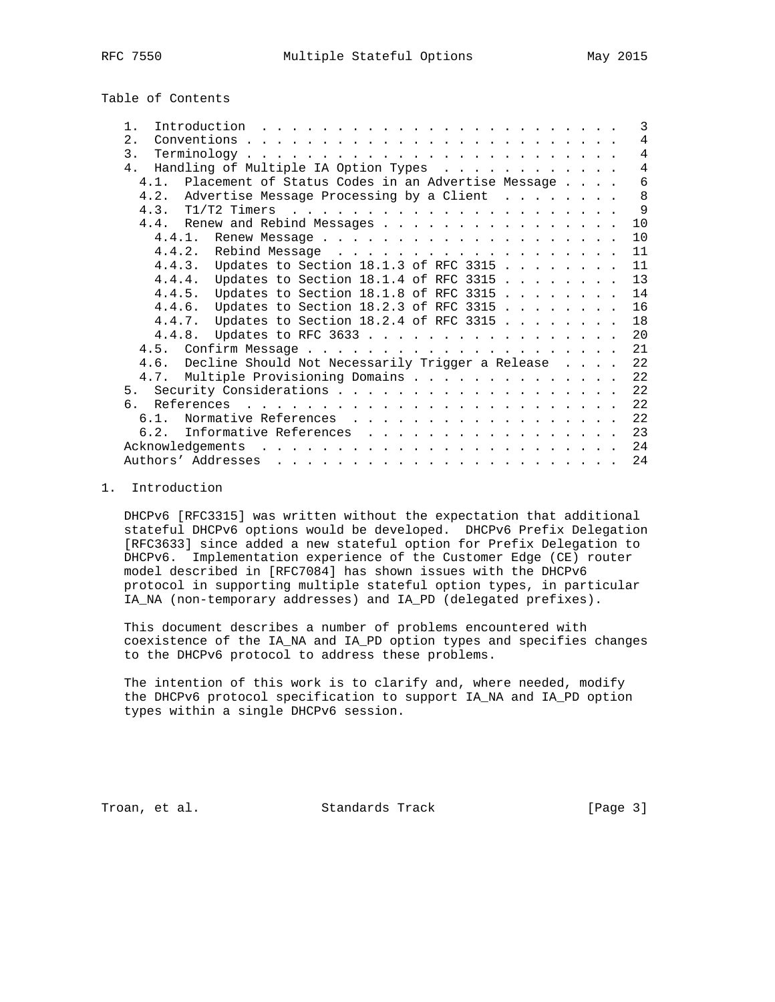Table of Contents

| Introduction $\ldots \ldots \ldots \ldots \ldots \ldots \ldots \ldots$<br>$1$ .                                                                                                                                                                         |  | 3              |
|---------------------------------------------------------------------------------------------------------------------------------------------------------------------------------------------------------------------------------------------------------|--|----------------|
| 2.<br>Conventions.<br>$\frac{1}{2}$ . The contract of the contract of the contract of the contract of the contract of the contract of the contract of the contract of the contract of the contract of the contract of the contract of the contract of t |  | $\overline{4}$ |
| $\overline{3}$ .                                                                                                                                                                                                                                        |  | $\overline{4}$ |
| Handling of Multiple IA Option Types<br>4 <sub>1</sub>                                                                                                                                                                                                  |  | $\overline{4}$ |
| 4.1. Placement of Status Codes in an Advertise Message                                                                                                                                                                                                  |  | 6              |
| 4.2. Advertise Message Processing by a Client                                                                                                                                                                                                           |  | 8              |
|                                                                                                                                                                                                                                                         |  | - 9            |
| 4.4. Renew and Rebind Messages                                                                                                                                                                                                                          |  | 10             |
|                                                                                                                                                                                                                                                         |  | 10             |
|                                                                                                                                                                                                                                                         |  | 11             |
| 4.4.3. Updates to Section 18.1.3 of RFC 3315                                                                                                                                                                                                            |  | 11             |
| 4.4.4. Updates to Section 18.1.4 of RFC 3315                                                                                                                                                                                                            |  | 13             |
| 4.4.5. Updates to Section 18.1.8 of RFC 3315                                                                                                                                                                                                            |  | 14             |
| 4.4.6. Updates to Section 18.2.3 of RFC 3315                                                                                                                                                                                                            |  | 16             |
| 4.4.7. Updates to Section 18.2.4 of RFC 3315                                                                                                                                                                                                            |  | 18             |
|                                                                                                                                                                                                                                                         |  |                |
| 4.4.8. Updates to RFC 3633                                                                                                                                                                                                                              |  | 20             |
|                                                                                                                                                                                                                                                         |  | 21             |
| 4.6. Decline Should Not Necessarily Trigger a Release                                                                                                                                                                                                   |  | 22             |
| 4.7. Multiple Provisioning Domains                                                                                                                                                                                                                      |  | 22             |
|                                                                                                                                                                                                                                                         |  | 22             |
| რ.                                                                                                                                                                                                                                                      |  | 22             |
| Normative References<br>6.1.                                                                                                                                                                                                                            |  | 22             |
| Informative References<br>6.2.                                                                                                                                                                                                                          |  | 23             |
| Acknowledgements<br>. The contract of the contract of the contract of the contract of the contract of the contract of the contract of the contract of the contract of the contract of the contract of the contract of the contract of the contrac       |  | 24             |
| Authors' Addresses<br>المناطر المناطر المناطر المناطر المناطر المناطر المناطر المناطر المناطر المناطر المناطر المناطر                                                                                                                                   |  | 24             |

## 1. Introduction

 DHCPv6 [RFC3315] was written without the expectation that additional stateful DHCPv6 options would be developed. DHCPv6 Prefix Delegation [RFC3633] since added a new stateful option for Prefix Delegation to DHCPv6. Implementation experience of the Customer Edge (CE) router model described in [RFC7084] has shown issues with the DHCPv6 protocol in supporting multiple stateful option types, in particular IA\_NA (non-temporary addresses) and IA\_PD (delegated prefixes).

 This document describes a number of problems encountered with coexistence of the IA\_NA and IA\_PD option types and specifies changes to the DHCPv6 protocol to address these problems.

 The intention of this work is to clarify and, where needed, modify the DHCPv6 protocol specification to support IA\_NA and IA\_PD option types within a single DHCPv6 session.

Troan, et al. Standards Track [Page 3]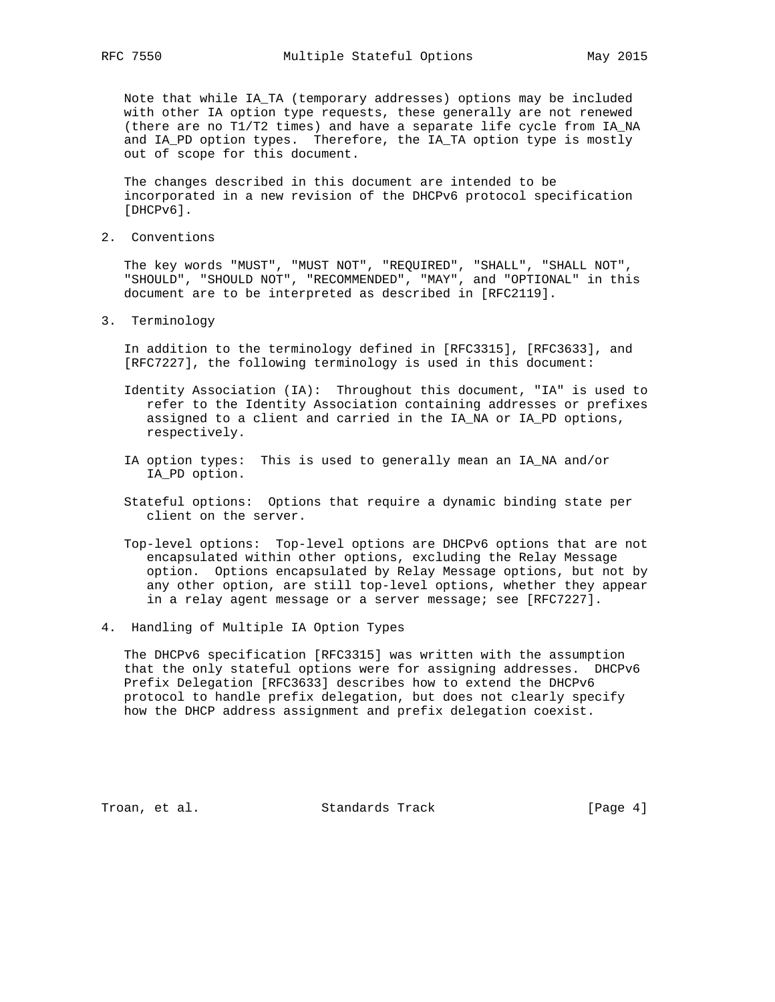Note that while IA\_TA (temporary addresses) options may be included with other IA option type requests, these generally are not renewed (there are no T1/T2 times) and have a separate life cycle from IA\_NA and IA\_PD option types. Therefore, the IA\_TA option type is mostly out of scope for this document.

 The changes described in this document are intended to be incorporated in a new revision of the DHCPv6 protocol specification [DHCPv6].

2. Conventions

 The key words "MUST", "MUST NOT", "REQUIRED", "SHALL", "SHALL NOT", "SHOULD", "SHOULD NOT", "RECOMMENDED", "MAY", and "OPTIONAL" in this document are to be interpreted as described in [RFC2119].

3. Terminology

 In addition to the terminology defined in [RFC3315], [RFC3633], and [RFC7227], the following terminology is used in this document:

- Identity Association (IA): Throughout this document, "IA" is used to refer to the Identity Association containing addresses or prefixes assigned to a client and carried in the IA\_NA or IA\_PD options, respectively.
- IA option types: This is used to generally mean an IA\_NA and/or IA\_PD option.
- Stateful options: Options that require a dynamic binding state per client on the server.
- Top-level options: Top-level options are DHCPv6 options that are not encapsulated within other options, excluding the Relay Message option. Options encapsulated by Relay Message options, but not by any other option, are still top-level options, whether they appear in a relay agent message or a server message; see [RFC7227].
- 4. Handling of Multiple IA Option Types

 The DHCPv6 specification [RFC3315] was written with the assumption that the only stateful options were for assigning addresses. DHCPv6 Prefix Delegation [RFC3633] describes how to extend the DHCPv6 protocol to handle prefix delegation, but does not clearly specify how the DHCP address assignment and prefix delegation coexist.

Troan, et al. Standards Track [Page 4]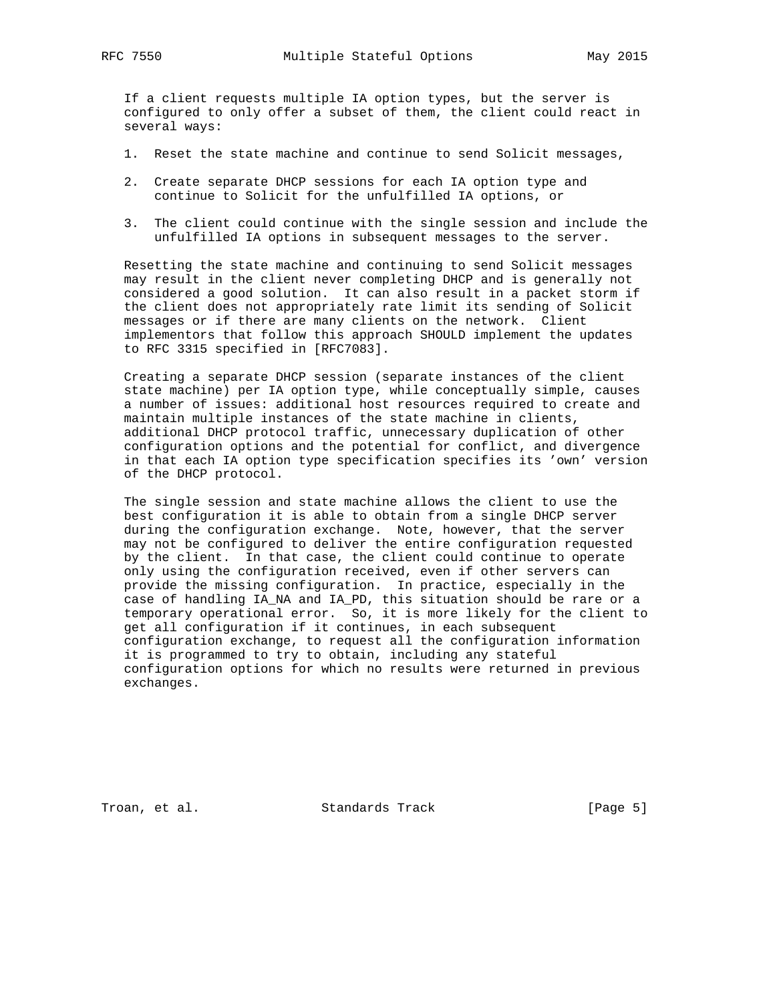If a client requests multiple IA option types, but the server is configured to only offer a subset of them, the client could react in several ways:

- 1. Reset the state machine and continue to send Solicit messages,
- 2. Create separate DHCP sessions for each IA option type and continue to Solicit for the unfulfilled IA options, or
- 3. The client could continue with the single session and include the unfulfilled IA options in subsequent messages to the server.

 Resetting the state machine and continuing to send Solicit messages may result in the client never completing DHCP and is generally not considered a good solution. It can also result in a packet storm if the client does not appropriately rate limit its sending of Solicit messages or if there are many clients on the network. Client implementors that follow this approach SHOULD implement the updates to RFC 3315 specified in [RFC7083].

 Creating a separate DHCP session (separate instances of the client state machine) per IA option type, while conceptually simple, causes a number of issues: additional host resources required to create and maintain multiple instances of the state machine in clients, additional DHCP protocol traffic, unnecessary duplication of other configuration options and the potential for conflict, and divergence in that each IA option type specification specifies its 'own' version of the DHCP protocol.

 The single session and state machine allows the client to use the best configuration it is able to obtain from a single DHCP server during the configuration exchange. Note, however, that the server may not be configured to deliver the entire configuration requested by the client. In that case, the client could continue to operate only using the configuration received, even if other servers can provide the missing configuration. In practice, especially in the case of handling IA\_NA and IA\_PD, this situation should be rare or a temporary operational error. So, it is more likely for the client to get all configuration if it continues, in each subsequent configuration exchange, to request all the configuration information it is programmed to try to obtain, including any stateful configuration options for which no results were returned in previous exchanges.

Troan, et al. Standards Track [Page 5]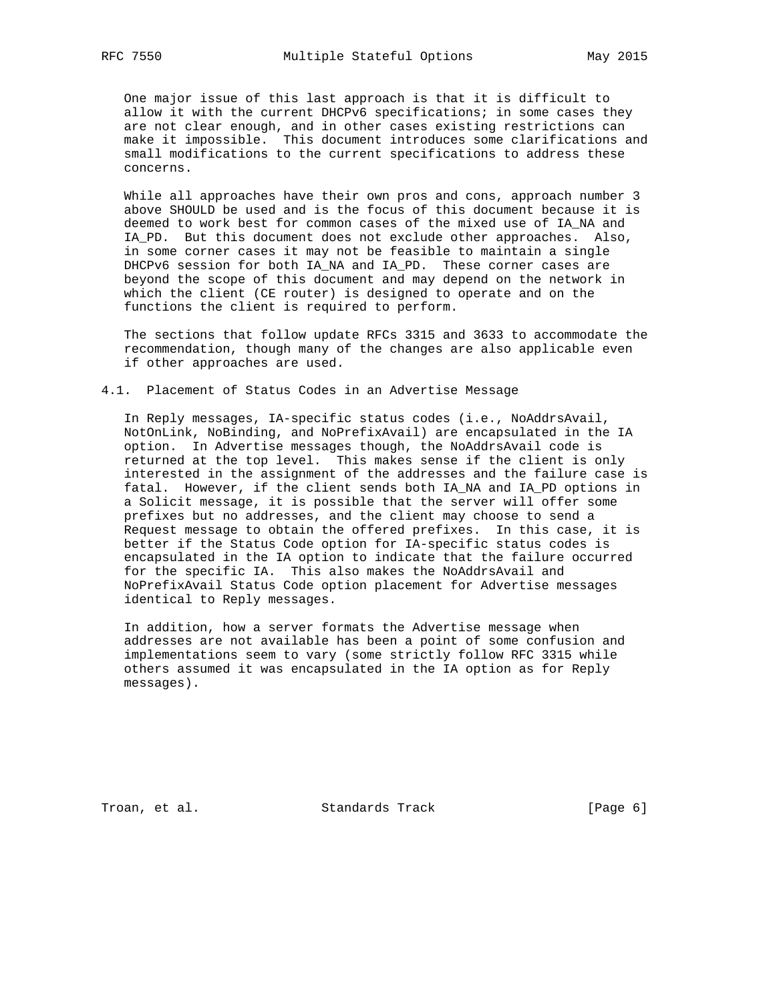One major issue of this last approach is that it is difficult to allow it with the current DHCPv6 specifications; in some cases they are not clear enough, and in other cases existing restrictions can make it impossible. This document introduces some clarifications and small modifications to the current specifications to address these concerns.

 While all approaches have their own pros and cons, approach number 3 above SHOULD be used and is the focus of this document because it is deemed to work best for common cases of the mixed use of IA\_NA and IA\_PD. But this document does not exclude other approaches. Also, in some corner cases it may not be feasible to maintain a single DHCPv6 session for both IA\_NA and IA\_PD. These corner cases are beyond the scope of this document and may depend on the network in which the client (CE router) is designed to operate and on the functions the client is required to perform.

 The sections that follow update RFCs 3315 and 3633 to accommodate the recommendation, though many of the changes are also applicable even if other approaches are used.

# 4.1. Placement of Status Codes in an Advertise Message

 In Reply messages, IA-specific status codes (i.e., NoAddrsAvail, NotOnLink, NoBinding, and NoPrefixAvail) are encapsulated in the IA option. In Advertise messages though, the NoAddrsAvail code is returned at the top level. This makes sense if the client is only interested in the assignment of the addresses and the failure case is fatal. However, if the client sends both IA\_NA and IA\_PD options in a Solicit message, it is possible that the server will offer some prefixes but no addresses, and the client may choose to send a Request message to obtain the offered prefixes. In this case, it is better if the Status Code option for IA-specific status codes is encapsulated in the IA option to indicate that the failure occurred for the specific IA. This also makes the NoAddrsAvail and NoPrefixAvail Status Code option placement for Advertise messages identical to Reply messages.

 In addition, how a server formats the Advertise message when addresses are not available has been a point of some confusion and implementations seem to vary (some strictly follow RFC 3315 while others assumed it was encapsulated in the IA option as for Reply messages).

Troan, et al. Standards Track [Page 6]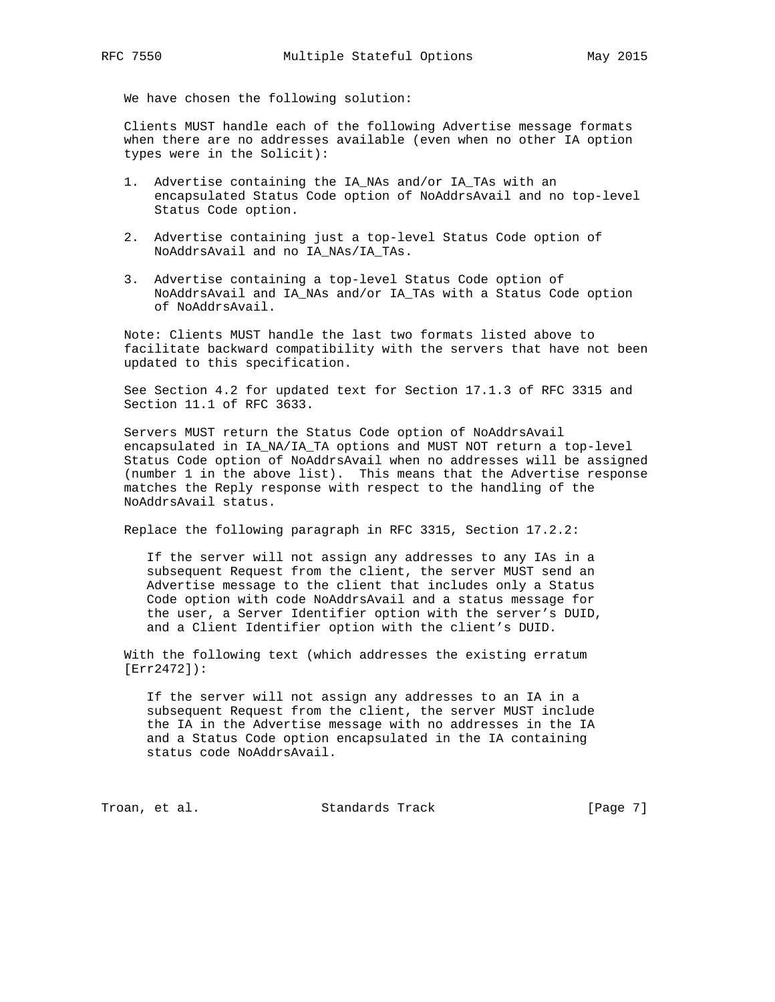We have chosen the following solution:

 Clients MUST handle each of the following Advertise message formats when there are no addresses available (even when no other IA option types were in the Solicit):

- 1. Advertise containing the IA\_NAs and/or IA\_TAs with an encapsulated Status Code option of NoAddrsAvail and no top-level Status Code option.
- 2. Advertise containing just a top-level Status Code option of NoAddrsAvail and no IA\_NAs/IA\_TAs.
- 3. Advertise containing a top-level Status Code option of NoAddrsAvail and IA\_NAs and/or IA\_TAs with a Status Code option of NoAddrsAvail.

 Note: Clients MUST handle the last two formats listed above to facilitate backward compatibility with the servers that have not been updated to this specification.

 See Section 4.2 for updated text for Section 17.1.3 of RFC 3315 and Section 11.1 of RFC 3633.

 Servers MUST return the Status Code option of NoAddrsAvail encapsulated in IA\_NA/IA\_TA options and MUST NOT return a top-level Status Code option of NoAddrsAvail when no addresses will be assigned (number 1 in the above list). This means that the Advertise response matches the Reply response with respect to the handling of the NoAddrsAvail status.

Replace the following paragraph in RFC 3315, Section 17.2.2:

 If the server will not assign any addresses to any IAs in a subsequent Request from the client, the server MUST send an Advertise message to the client that includes only a Status Code option with code NoAddrsAvail and a status message for the user, a Server Identifier option with the server's DUID, and a Client Identifier option with the client's DUID.

 With the following text (which addresses the existing erratum [Err2472]):

 If the server will not assign any addresses to an IA in a subsequent Request from the client, the server MUST include the IA in the Advertise message with no addresses in the IA and a Status Code option encapsulated in the IA containing status code NoAddrsAvail.

Troan, et al. Standards Track [Page 7]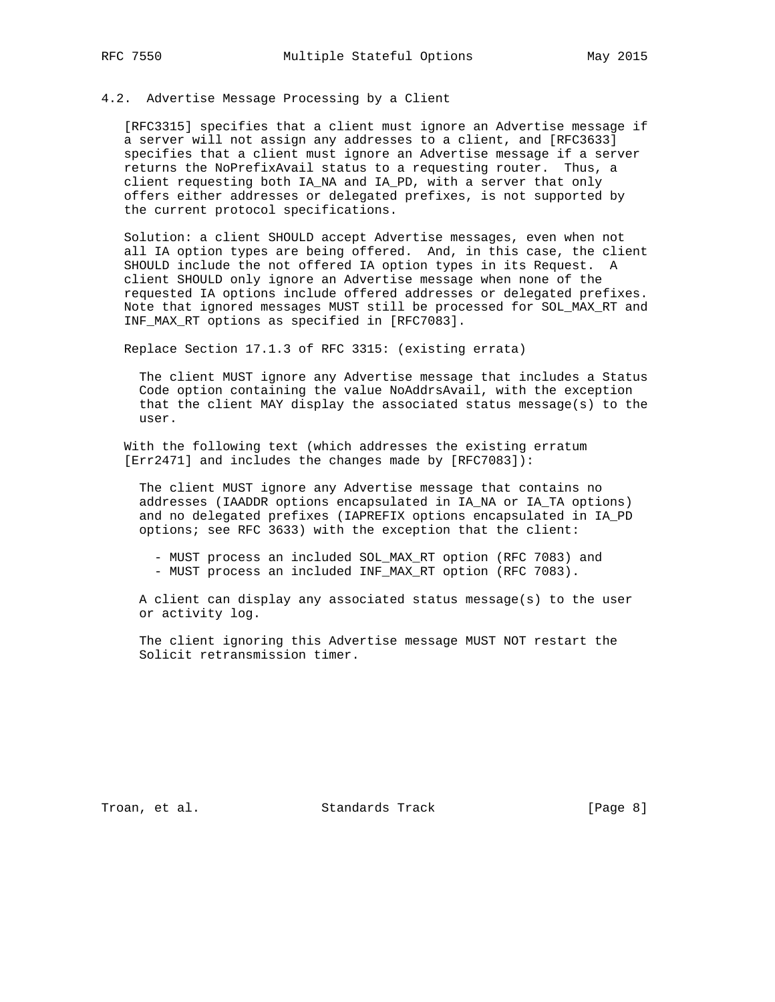#### 4.2. Advertise Message Processing by a Client

 [RFC3315] specifies that a client must ignore an Advertise message if a server will not assign any addresses to a client, and [RFC3633] specifies that a client must ignore an Advertise message if a server returns the NoPrefixAvail status to a requesting router. Thus, a client requesting both IA\_NA and IA\_PD, with a server that only offers either addresses or delegated prefixes, is not supported by the current protocol specifications.

 Solution: a client SHOULD accept Advertise messages, even when not all IA option types are being offered. And, in this case, the client SHOULD include the not offered IA option types in its Request. A client SHOULD only ignore an Advertise message when none of the requested IA options include offered addresses or delegated prefixes. Note that ignored messages MUST still be processed for SOL\_MAX\_RT and INF\_MAX\_RT options as specified in [RFC7083].

Replace Section 17.1.3 of RFC 3315: (existing errata)

 The client MUST ignore any Advertise message that includes a Status Code option containing the value NoAddrsAvail, with the exception that the client MAY display the associated status message(s) to the user.

 With the following text (which addresses the existing erratum [Err2471] and includes the changes made by [RFC7083]):

 The client MUST ignore any Advertise message that contains no addresses (IAADDR options encapsulated in IA\_NA or IA\_TA options) and no delegated prefixes (IAPREFIX options encapsulated in IA\_PD options; see RFC 3633) with the exception that the client:

 - MUST process an included SOL\_MAX\_RT option (RFC 7083) and - MUST process an included INF\_MAX\_RT option (RFC 7083).

 A client can display any associated status message(s) to the user or activity log.

 The client ignoring this Advertise message MUST NOT restart the Solicit retransmission timer.

Troan, et al. Standards Track [Page 8]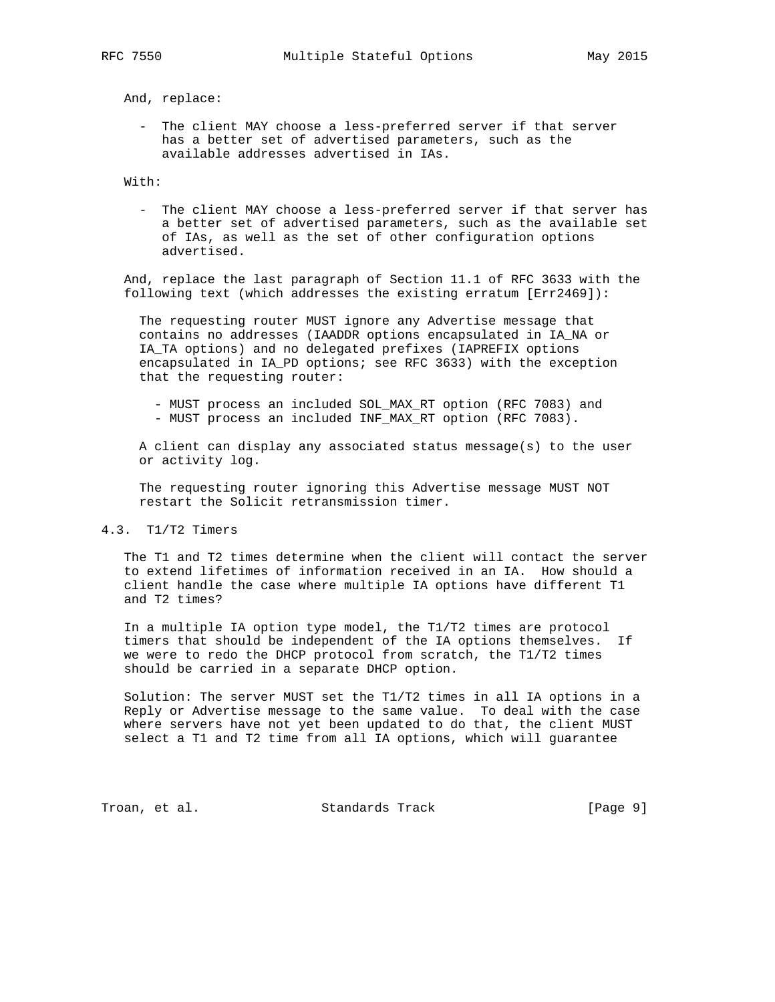And, replace:

 - The client MAY choose a less-preferred server if that server has a better set of advertised parameters, such as the available addresses advertised in IAs.

With:

 - The client MAY choose a less-preferred server if that server has a better set of advertised parameters, such as the available set of IAs, as well as the set of other configuration options advertised.

 And, replace the last paragraph of Section 11.1 of RFC 3633 with the following text (which addresses the existing erratum [Err2469]):

 The requesting router MUST ignore any Advertise message that contains no addresses (IAADDR options encapsulated in IA\_NA or IA\_TA options) and no delegated prefixes (IAPREFIX options encapsulated in IA\_PD options; see RFC 3633) with the exception that the requesting router:

- MUST process an included SOL\_MAX\_RT option (RFC 7083) and - MUST process an included INF\_MAX\_RT option (RFC 7083).
- 

 A client can display any associated status message(s) to the user or activity log.

 The requesting router ignoring this Advertise message MUST NOT restart the Solicit retransmission timer.

# 4.3. T1/T2 Timers

 The T1 and T2 times determine when the client will contact the server to extend lifetimes of information received in an IA. How should a client handle the case where multiple IA options have different T1 and T2 times?

 In a multiple IA option type model, the T1/T2 times are protocol timers that should be independent of the IA options themselves. If we were to redo the DHCP protocol from scratch, the T1/T2 times should be carried in a separate DHCP option.

 Solution: The server MUST set the T1/T2 times in all IA options in a Reply or Advertise message to the same value. To deal with the case where servers have not yet been updated to do that, the client MUST select a T1 and T2 time from all IA options, which will guarantee

Troan, et al. Standards Track [Page 9]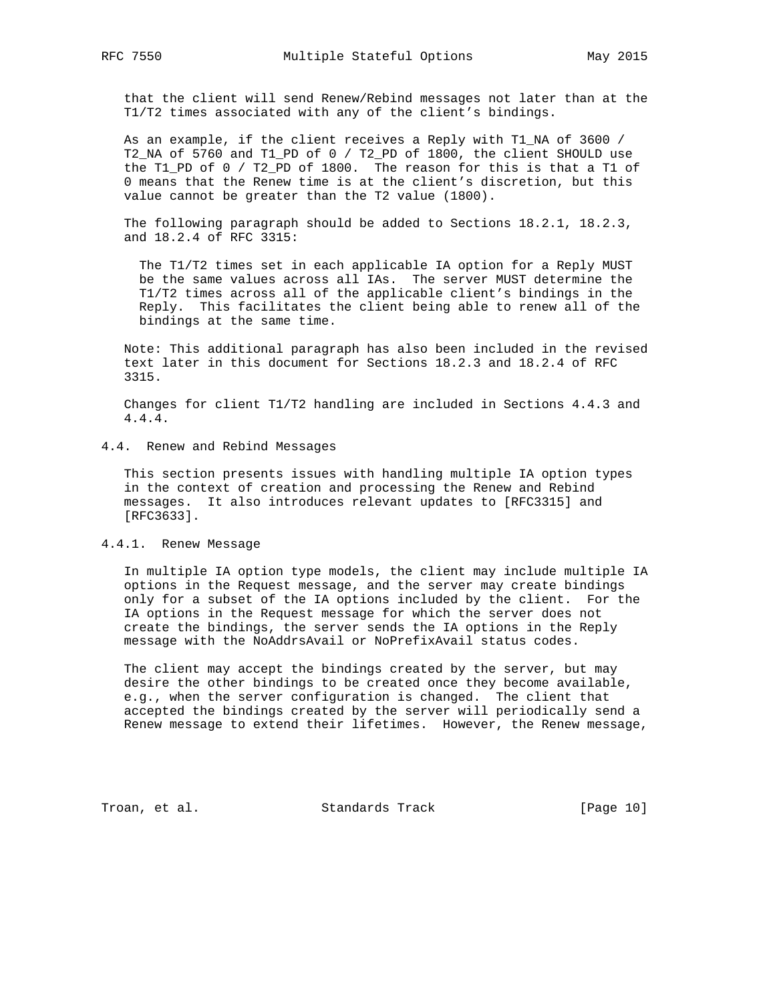that the client will send Renew/Rebind messages not later than at the T1/T2 times associated with any of the client's bindings.

 As an example, if the client receives a Reply with T1\_NA of 3600 / T2\_NA of 5760 and T1\_PD of 0 / T2\_PD of 1800, the client SHOULD use the T1\_PD of 0 / T2\_PD of 1800. The reason for this is that a T1 of 0 means that the Renew time is at the client's discretion, but this value cannot be greater than the T2 value (1800).

 The following paragraph should be added to Sections 18.2.1, 18.2.3, and 18.2.4 of RFC 3315:

 The T1/T2 times set in each applicable IA option for a Reply MUST be the same values across all IAs. The server MUST determine the T1/T2 times across all of the applicable client's bindings in the Reply. This facilitates the client being able to renew all of the bindings at the same time.

 Note: This additional paragraph has also been included in the revised text later in this document for Sections 18.2.3 and 18.2.4 of RFC 3315.

 Changes for client T1/T2 handling are included in Sections 4.4.3 and 4.4.4.

#### 4.4. Renew and Rebind Messages

 This section presents issues with handling multiple IA option types in the context of creation and processing the Renew and Rebind messages. It also introduces relevant updates to [RFC3315] and [RFC3633].

#### 4.4.1. Renew Message

 In multiple IA option type models, the client may include multiple IA options in the Request message, and the server may create bindings only for a subset of the IA options included by the client. For the IA options in the Request message for which the server does not create the bindings, the server sends the IA options in the Reply message with the NoAddrsAvail or NoPrefixAvail status codes.

 The client may accept the bindings created by the server, but may desire the other bindings to be created once they become available, e.g., when the server configuration is changed. The client that accepted the bindings created by the server will periodically send a Renew message to extend their lifetimes. However, the Renew message,

Troan, et al. Standards Track [Page 10]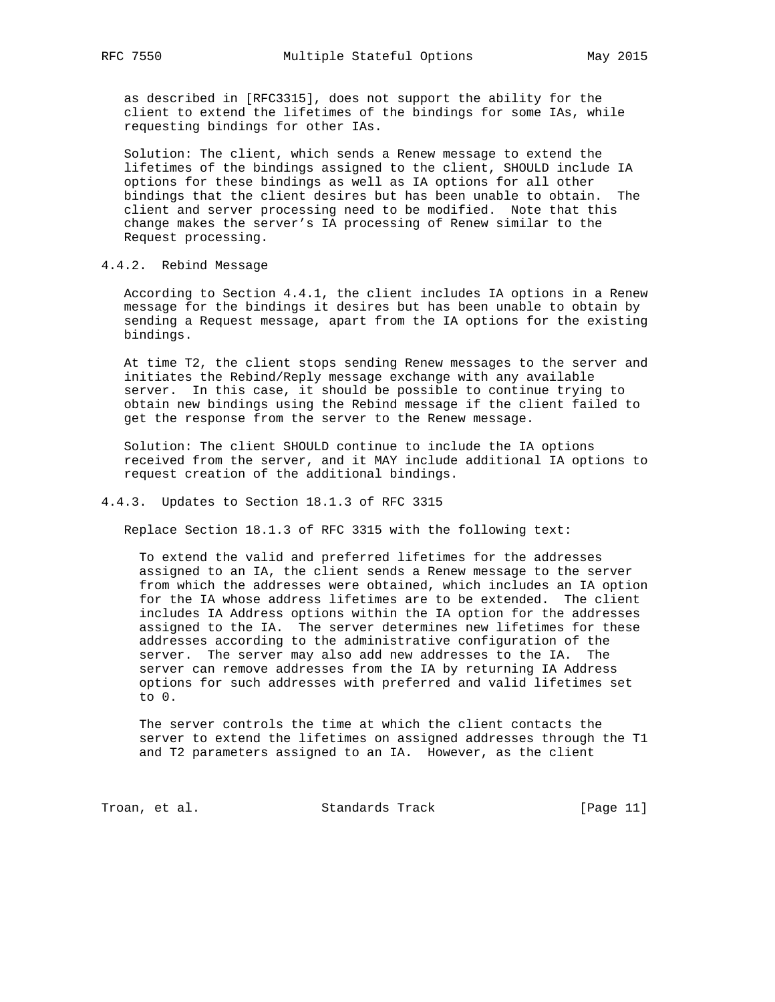as described in [RFC3315], does not support the ability for the client to extend the lifetimes of the bindings for some IAs, while requesting bindings for other IAs.

 Solution: The client, which sends a Renew message to extend the lifetimes of the bindings assigned to the client, SHOULD include IA options for these bindings as well as IA options for all other bindings that the client desires but has been unable to obtain. The client and server processing need to be modified. Note that this change makes the server's IA processing of Renew similar to the Request processing.

# 4.4.2. Rebind Message

 According to Section 4.4.1, the client includes IA options in a Renew message for the bindings it desires but has been unable to obtain by sending a Request message, apart from the IA options for the existing bindings.

 At time T2, the client stops sending Renew messages to the server and initiates the Rebind/Reply message exchange with any available server. In this case, it should be possible to continue trying to obtain new bindings using the Rebind message if the client failed to get the response from the server to the Renew message.

 Solution: The client SHOULD continue to include the IA options received from the server, and it MAY include additional IA options to request creation of the additional bindings.

## 4.4.3. Updates to Section 18.1.3 of RFC 3315

Replace Section 18.1.3 of RFC 3315 with the following text:

 To extend the valid and preferred lifetimes for the addresses assigned to an IA, the client sends a Renew message to the server from which the addresses were obtained, which includes an IA option for the IA whose address lifetimes are to be extended. The client includes IA Address options within the IA option for the addresses assigned to the IA. The server determines new lifetimes for these addresses according to the administrative configuration of the server. The server may also add new addresses to the IA. The server can remove addresses from the IA by returning IA Address options for such addresses with preferred and valid lifetimes set to 0.

 The server controls the time at which the client contacts the server to extend the lifetimes on assigned addresses through the T1 and T2 parameters assigned to an IA. However, as the client

Troan, et al. Standards Track [Page 11]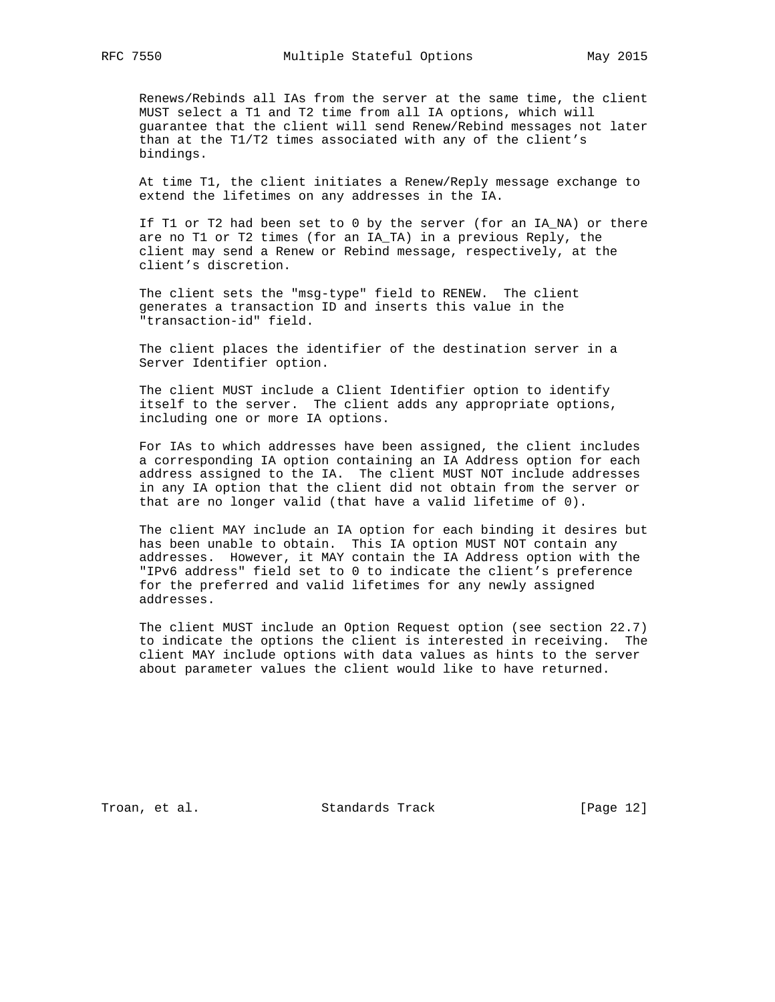Renews/Rebinds all IAs from the server at the same time, the client MUST select a T1 and T2 time from all IA options, which will guarantee that the client will send Renew/Rebind messages not later than at the T1/T2 times associated with any of the client's bindings.

 At time T1, the client initiates a Renew/Reply message exchange to extend the lifetimes on any addresses in the IA.

 If T1 or T2 had been set to 0 by the server (for an IA\_NA) or there are no T1 or T2 times (for an IA\_TA) in a previous Reply, the client may send a Renew or Rebind message, respectively, at the client's discretion.

 The client sets the "msg-type" field to RENEW. The client generates a transaction ID and inserts this value in the "transaction-id" field.

 The client places the identifier of the destination server in a Server Identifier option.

 The client MUST include a Client Identifier option to identify itself to the server. The client adds any appropriate options, including one or more IA options.

 For IAs to which addresses have been assigned, the client includes a corresponding IA option containing an IA Address option for each address assigned to the IA. The client MUST NOT include addresses in any IA option that the client did not obtain from the server or that are no longer valid (that have a valid lifetime of 0).

 The client MAY include an IA option for each binding it desires but has been unable to obtain. This IA option MUST NOT contain any addresses. However, it MAY contain the IA Address option with the "IPv6 address" field set to 0 to indicate the client's preference for the preferred and valid lifetimes for any newly assigned addresses.

 The client MUST include an Option Request option (see section 22.7) to indicate the options the client is interested in receiving. The client MAY include options with data values as hints to the server about parameter values the client would like to have returned.

Troan, et al. Standards Track [Page 12]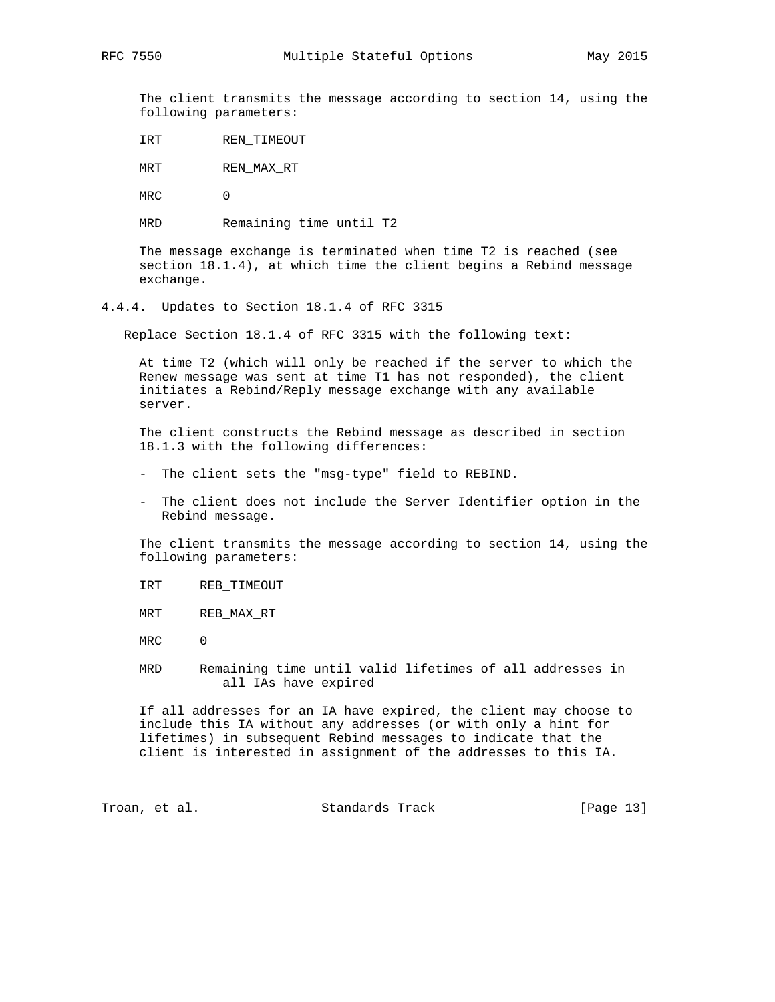The client transmits the message according to section 14, using the following parameters:

IRT REN\_TIMEOUT

MRT REN\_MAX\_RT

MRC 0

MRD Remaining time until T2

 The message exchange is terminated when time T2 is reached (see section 18.1.4), at which time the client begins a Rebind message exchange.

4.4.4. Updates to Section 18.1.4 of RFC 3315

Replace Section 18.1.4 of RFC 3315 with the following text:

 At time T2 (which will only be reached if the server to which the Renew message was sent at time T1 has not responded), the client initiates a Rebind/Reply message exchange with any available server.

 The client constructs the Rebind message as described in section 18.1.3 with the following differences:

- The client sets the "msg-type" field to REBIND.
- The client does not include the Server Identifier option in the Rebind message.

 The client transmits the message according to section 14, using the following parameters:

IRT REB\_TIMEOUT

MRT REB\_MAX\_RT

MRC 0

 MRD Remaining time until valid lifetimes of all addresses in all IAs have expired

 If all addresses for an IA have expired, the client may choose to include this IA without any addresses (or with only a hint for lifetimes) in subsequent Rebind messages to indicate that the client is interested in assignment of the addresses to this IA.

Troan, et al. Standards Track [Page 13]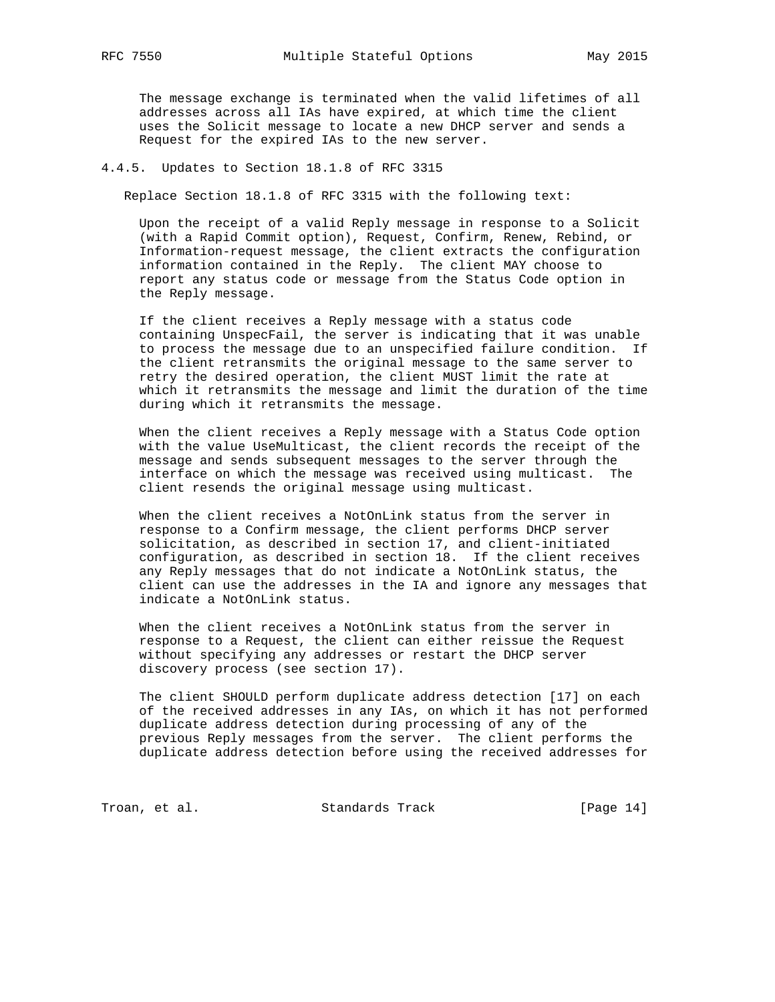The message exchange is terminated when the valid lifetimes of all addresses across all IAs have expired, at which time the client uses the Solicit message to locate a new DHCP server and sends a Request for the expired IAs to the new server.

## 4.4.5. Updates to Section 18.1.8 of RFC 3315

Replace Section 18.1.8 of RFC 3315 with the following text:

 Upon the receipt of a valid Reply message in response to a Solicit (with a Rapid Commit option), Request, Confirm, Renew, Rebind, or Information-request message, the client extracts the configuration information contained in the Reply. The client MAY choose to report any status code or message from the Status Code option in the Reply message.

 If the client receives a Reply message with a status code containing UnspecFail, the server is indicating that it was unable to process the message due to an unspecified failure condition. If the client retransmits the original message to the same server to retry the desired operation, the client MUST limit the rate at which it retransmits the message and limit the duration of the time during which it retransmits the message.

 When the client receives a Reply message with a Status Code option with the value UseMulticast, the client records the receipt of the message and sends subsequent messages to the server through the interface on which the message was received using multicast. The client resends the original message using multicast.

 When the client receives a NotOnLink status from the server in response to a Confirm message, the client performs DHCP server solicitation, as described in section 17, and client-initiated configuration, as described in section 18. If the client receives any Reply messages that do not indicate a NotOnLink status, the client can use the addresses in the IA and ignore any messages that indicate a NotOnLink status.

When the client receives a NotOnLink status from the server in response to a Request, the client can either reissue the Request without specifying any addresses or restart the DHCP server discovery process (see section 17).

 The client SHOULD perform duplicate address detection [17] on each of the received addresses in any IAs, on which it has not performed duplicate address detection during processing of any of the previous Reply messages from the server. The client performs the duplicate address detection before using the received addresses for

Troan, et al. Standards Track [Page 14]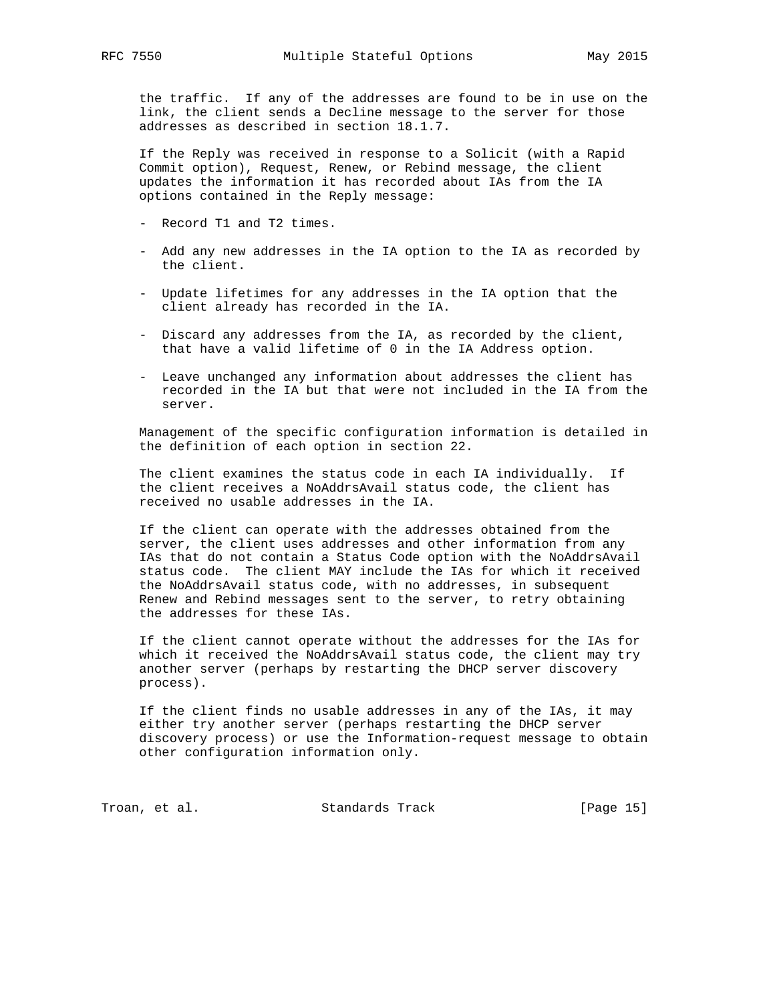the traffic. If any of the addresses are found to be in use on the link, the client sends a Decline message to the server for those addresses as described in section 18.1.7.

 If the Reply was received in response to a Solicit (with a Rapid Commit option), Request, Renew, or Rebind message, the client updates the information it has recorded about IAs from the IA options contained in the Reply message:

- Record T1 and T2 times.
- Add any new addresses in the IA option to the IA as recorded by the client.
- Update lifetimes for any addresses in the IA option that the client already has recorded in the IA.
- Discard any addresses from the IA, as recorded by the client, that have a valid lifetime of 0 in the IA Address option.
- Leave unchanged any information about addresses the client has recorded in the IA but that were not included in the IA from the server.

 Management of the specific configuration information is detailed in the definition of each option in section 22.

 The client examines the status code in each IA individually. If the client receives a NoAddrsAvail status code, the client has received no usable addresses in the IA.

 If the client can operate with the addresses obtained from the server, the client uses addresses and other information from any IAs that do not contain a Status Code option with the NoAddrsAvail status code. The client MAY include the IAs for which it received the NoAddrsAvail status code, with no addresses, in subsequent Renew and Rebind messages sent to the server, to retry obtaining the addresses for these IAs.

 If the client cannot operate without the addresses for the IAs for which it received the NoAddrsAvail status code, the client may try another server (perhaps by restarting the DHCP server discovery process).

 If the client finds no usable addresses in any of the IAs, it may either try another server (perhaps restarting the DHCP server discovery process) or use the Information-request message to obtain other configuration information only.

Troan, et al. Standards Track [Page 15]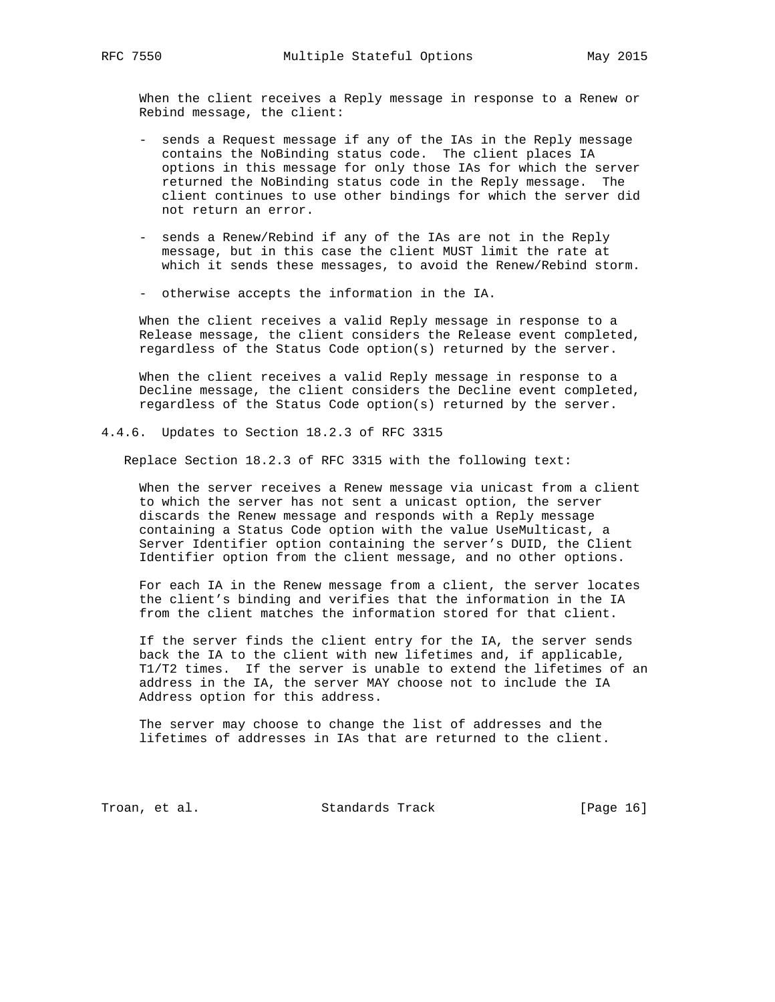When the client receives a Reply message in response to a Renew or Rebind message, the client:

- sends a Request message if any of the IAs in the Reply message contains the NoBinding status code. The client places IA options in this message for only those IAs for which the server returned the NoBinding status code in the Reply message. The client continues to use other bindings for which the server did not return an error.
- sends a Renew/Rebind if any of the IAs are not in the Reply message, but in this case the client MUST limit the rate at which it sends these messages, to avoid the Renew/Rebind storm.
- otherwise accepts the information in the IA.

 When the client receives a valid Reply message in response to a Release message, the client considers the Release event completed, regardless of the Status Code option(s) returned by the server.

 When the client receives a valid Reply message in response to a Decline message, the client considers the Decline event completed, regardless of the Status Code option(s) returned by the server.

4.4.6. Updates to Section 18.2.3 of RFC 3315

Replace Section 18.2.3 of RFC 3315 with the following text:

 When the server receives a Renew message via unicast from a client to which the server has not sent a unicast option, the server discards the Renew message and responds with a Reply message containing a Status Code option with the value UseMulticast, a Server Identifier option containing the server's DUID, the Client Identifier option from the client message, and no other options.

 For each IA in the Renew message from a client, the server locates the client's binding and verifies that the information in the IA from the client matches the information stored for that client.

 If the server finds the client entry for the IA, the server sends back the IA to the client with new lifetimes and, if applicable, T1/T2 times. If the server is unable to extend the lifetimes of an address in the IA, the server MAY choose not to include the IA Address option for this address.

 The server may choose to change the list of addresses and the lifetimes of addresses in IAs that are returned to the client.

Troan, et al. Standards Track [Page 16]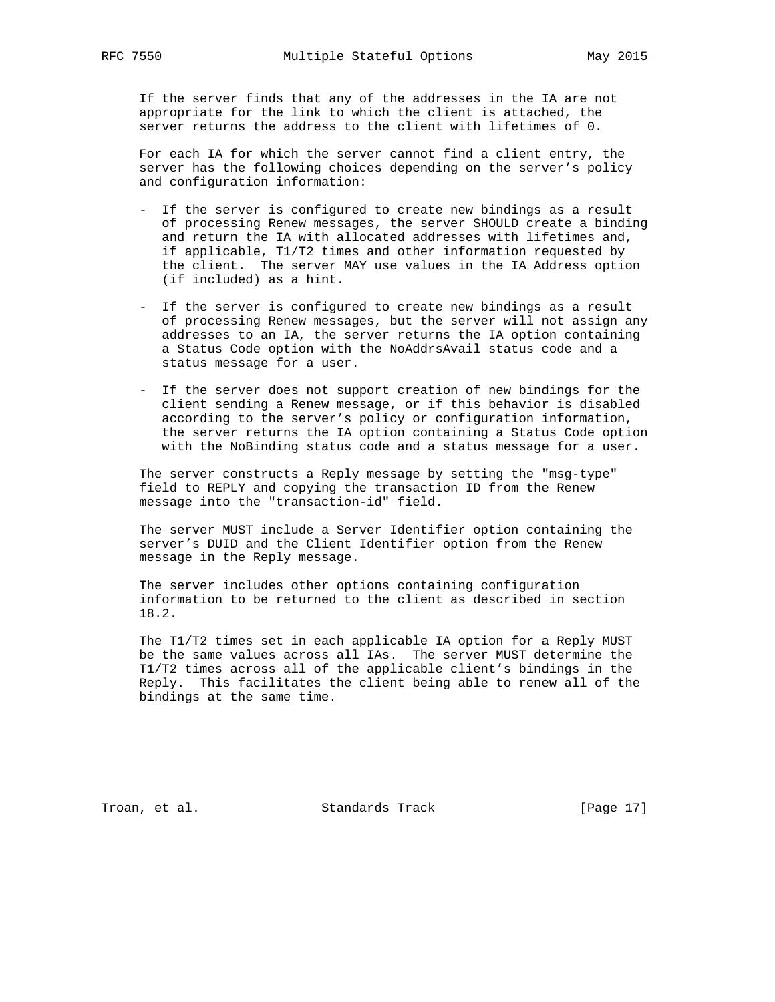If the server finds that any of the addresses in the IA are not appropriate for the link to which the client is attached, the server returns the address to the client with lifetimes of 0.

 For each IA for which the server cannot find a client entry, the server has the following choices depending on the server's policy and configuration information:

- If the server is configured to create new bindings as a result of processing Renew messages, the server SHOULD create a binding and return the IA with allocated addresses with lifetimes and, if applicable, T1/T2 times and other information requested by the client. The server MAY use values in the IA Address option (if included) as a hint.
- If the server is configured to create new bindings as a result of processing Renew messages, but the server will not assign any addresses to an IA, the server returns the IA option containing a Status Code option with the NoAddrsAvail status code and a status message for a user.
- If the server does not support creation of new bindings for the client sending a Renew message, or if this behavior is disabled according to the server's policy or configuration information, the server returns the IA option containing a Status Code option with the NoBinding status code and a status message for a user.

 The server constructs a Reply message by setting the "msg-type" field to REPLY and copying the transaction ID from the Renew message into the "transaction-id" field.

 The server MUST include a Server Identifier option containing the server's DUID and the Client Identifier option from the Renew message in the Reply message.

 The server includes other options containing configuration information to be returned to the client as described in section 18.2.

 The T1/T2 times set in each applicable IA option for a Reply MUST be the same values across all IAs. The server MUST determine the T1/T2 times across all of the applicable client's bindings in the Reply. This facilitates the client being able to renew all of the bindings at the same time.

Troan, et al. Standards Track [Page 17]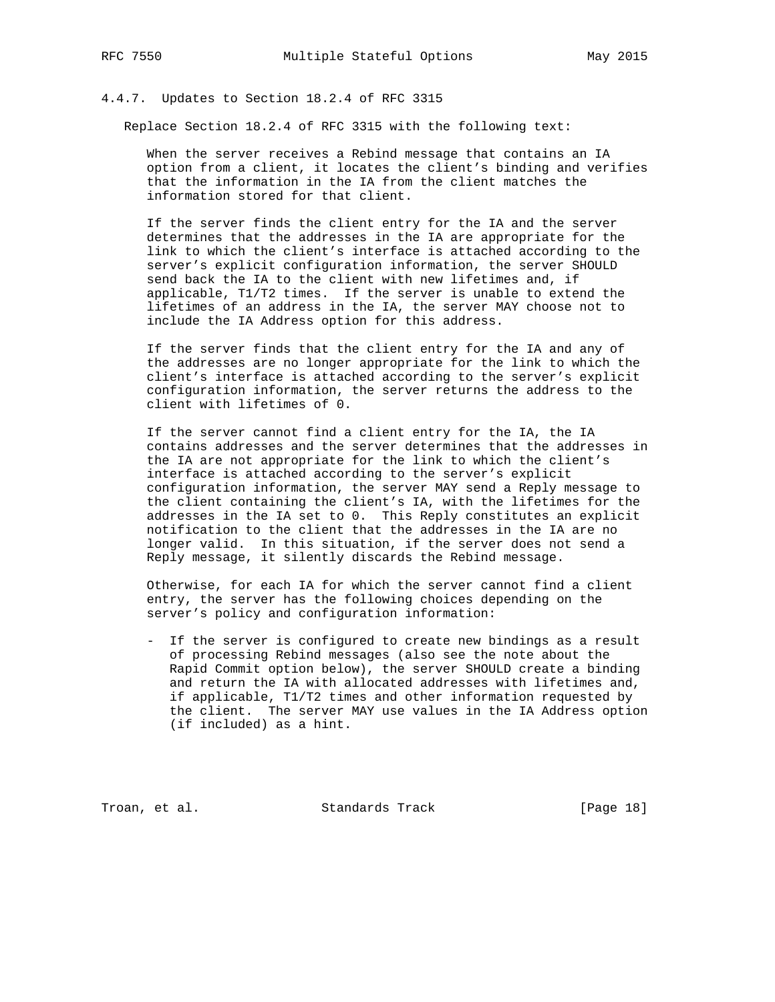## 4.4.7. Updates to Section 18.2.4 of RFC 3315

Replace Section 18.2.4 of RFC 3315 with the following text:

 When the server receives a Rebind message that contains an IA option from a client, it locates the client's binding and verifies that the information in the IA from the client matches the information stored for that client.

 If the server finds the client entry for the IA and the server determines that the addresses in the IA are appropriate for the link to which the client's interface is attached according to the server's explicit configuration information, the server SHOULD send back the IA to the client with new lifetimes and, if applicable, T1/T2 times. If the server is unable to extend the lifetimes of an address in the IA, the server MAY choose not to include the IA Address option for this address.

 If the server finds that the client entry for the IA and any of the addresses are no longer appropriate for the link to which the client's interface is attached according to the server's explicit configuration information, the server returns the address to the client with lifetimes of 0.

 If the server cannot find a client entry for the IA, the IA contains addresses and the server determines that the addresses in the IA are not appropriate for the link to which the client's interface is attached according to the server's explicit configuration information, the server MAY send a Reply message to the client containing the client's IA, with the lifetimes for the addresses in the IA set to 0. This Reply constitutes an explicit notification to the client that the addresses in the IA are no longer valid. In this situation, if the server does not send a Reply message, it silently discards the Rebind message.

 Otherwise, for each IA for which the server cannot find a client entry, the server has the following choices depending on the server's policy and configuration information:

 - If the server is configured to create new bindings as a result of processing Rebind messages (also see the note about the Rapid Commit option below), the server SHOULD create a binding and return the IA with allocated addresses with lifetimes and, if applicable, T1/T2 times and other information requested by the client. The server MAY use values in the IA Address option (if included) as a hint.

Troan, et al. Standards Track [Page 18]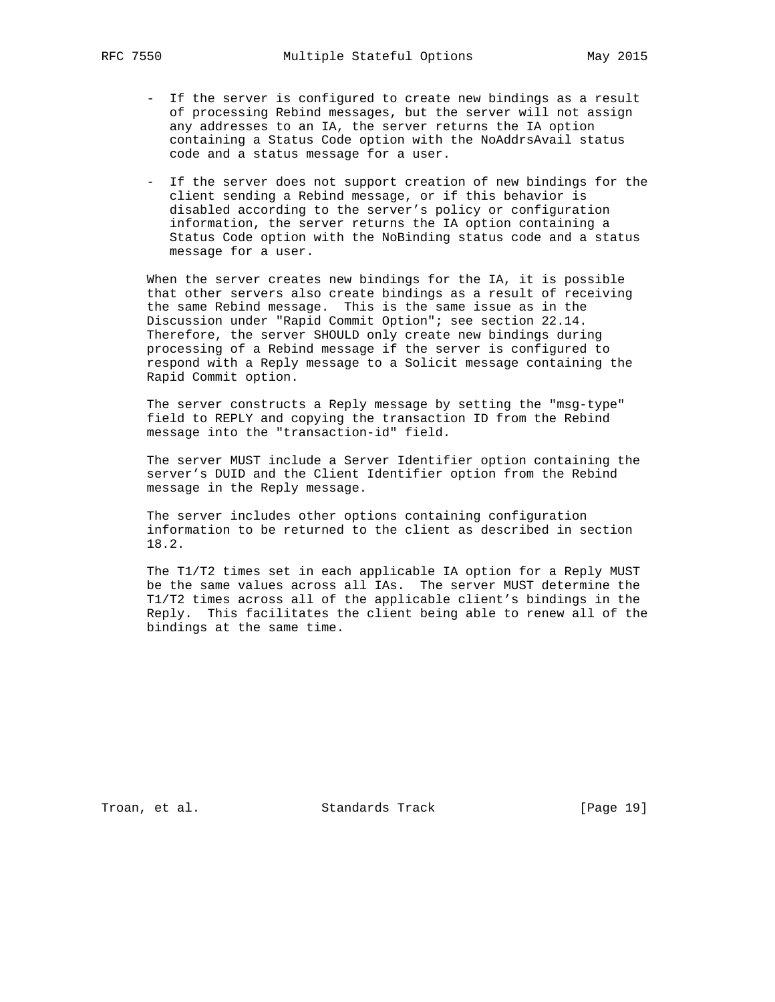- If the server is configured to create new bindings as a result of processing Rebind messages, but the server will not assign any addresses to an IA, the server returns the IA option containing a Status Code option with the NoAddrsAvail status code and a status message for a user.
- If the server does not support creation of new bindings for the client sending a Rebind message, or if this behavior is disabled according to the server's policy or configuration information, the server returns the IA option containing a Status Code option with the NoBinding status code and a status message for a user.

 When the server creates new bindings for the IA, it is possible that other servers also create bindings as a result of receiving the same Rebind message. This is the same issue as in the Discussion under "Rapid Commit Option"; see section 22.14. Therefore, the server SHOULD only create new bindings during processing of a Rebind message if the server is configured to respond with a Reply message to a Solicit message containing the Rapid Commit option.

 The server constructs a Reply message by setting the "msg-type" field to REPLY and copying the transaction ID from the Rebind message into the "transaction-id" field.

 The server MUST include a Server Identifier option containing the server's DUID and the Client Identifier option from the Rebind message in the Reply message.

 The server includes other options containing configuration information to be returned to the client as described in section 18.2.

 The T1/T2 times set in each applicable IA option for a Reply MUST be the same values across all IAs. The server MUST determine the T1/T2 times across all of the applicable client's bindings in the Reply. This facilitates the client being able to renew all of the bindings at the same time.

Troan, et al. Standards Track [Page 19]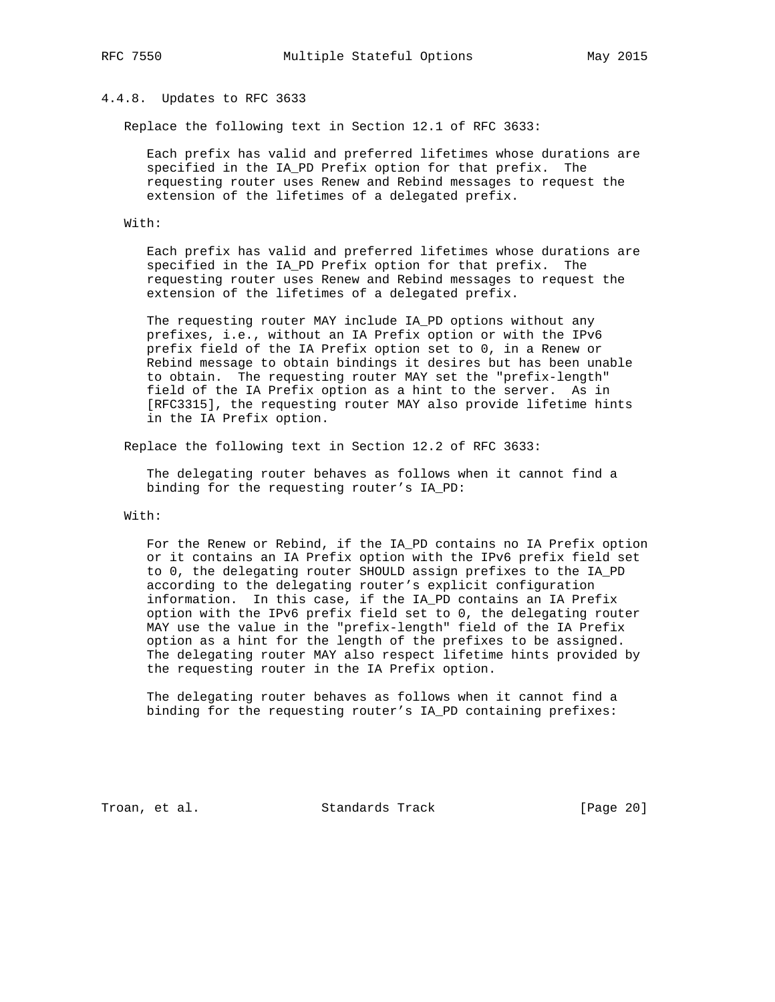# 4.4.8. Updates to RFC 3633

Replace the following text in Section 12.1 of RFC 3633:

 Each prefix has valid and preferred lifetimes whose durations are specified in the IA\_PD Prefix option for that prefix. The requesting router uses Renew and Rebind messages to request the extension of the lifetimes of a delegated prefix.

With:

 Each prefix has valid and preferred lifetimes whose durations are specified in the IA\_PD Prefix option for that prefix. The requesting router uses Renew and Rebind messages to request the extension of the lifetimes of a delegated prefix.

 The requesting router MAY include IA\_PD options without any prefixes, i.e., without an IA Prefix option or with the IPv6 prefix field of the IA Prefix option set to 0, in a Renew or Rebind message to obtain bindings it desires but has been unable to obtain. The requesting router MAY set the "prefix-length" field of the IA Prefix option as a hint to the server. As in [RFC3315], the requesting router MAY also provide lifetime hints in the IA Prefix option.

Replace the following text in Section 12.2 of RFC 3633:

 The delegating router behaves as follows when it cannot find a binding for the requesting router's IA\_PD:

With:

 For the Renew or Rebind, if the IA\_PD contains no IA Prefix option or it contains an IA Prefix option with the IPv6 prefix field set to 0, the delegating router SHOULD assign prefixes to the IA\_PD according to the delegating router's explicit configuration information. In this case, if the IA\_PD contains an IA Prefix option with the IPv6 prefix field set to 0, the delegating router MAY use the value in the "prefix-length" field of the IA Prefix option as a hint for the length of the prefixes to be assigned. The delegating router MAY also respect lifetime hints provided by the requesting router in the IA Prefix option.

 The delegating router behaves as follows when it cannot find a binding for the requesting router's IA\_PD containing prefixes:

Troan, et al. Standards Track [Page 20]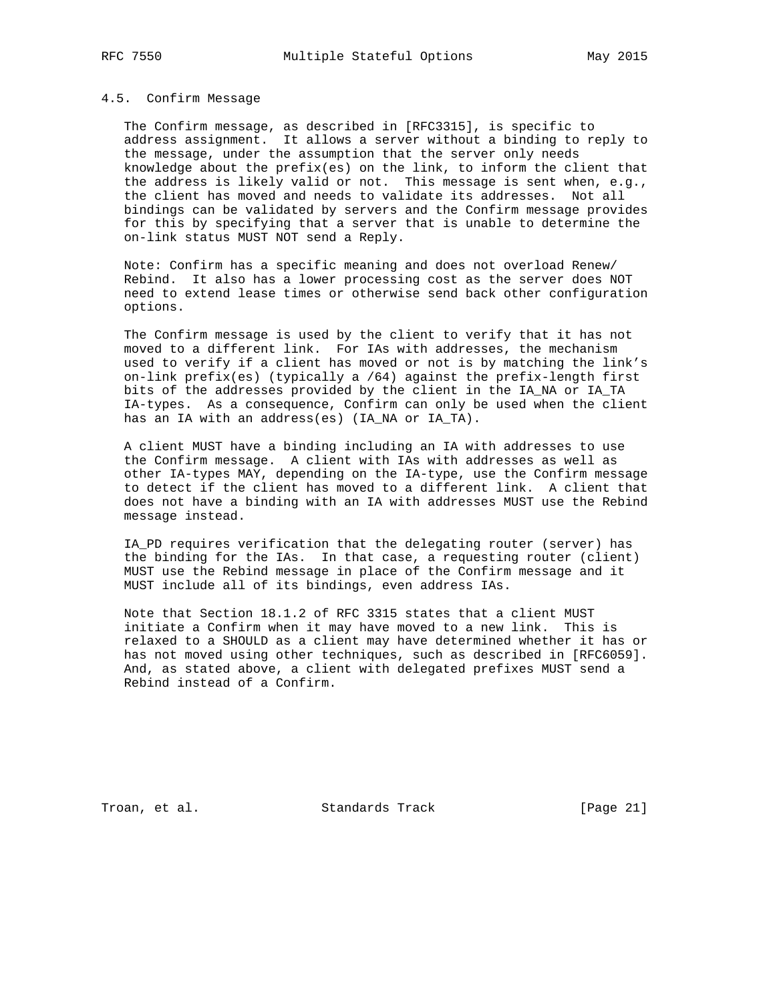#### 4.5. Confirm Message

 The Confirm message, as described in [RFC3315], is specific to address assignment. It allows a server without a binding to reply to the message, under the assumption that the server only needs knowledge about the  $prefix(es)$  on the link, to inform the client that the address is likely valid or not. This message is sent when, e.g., the client has moved and needs to validate its addresses. Not all bindings can be validated by servers and the Confirm message provides for this by specifying that a server that is unable to determine the on-link status MUST NOT send a Reply.

 Note: Confirm has a specific meaning and does not overload Renew/ Rebind. It also has a lower processing cost as the server does NOT need to extend lease times or otherwise send back other configuration options.

 The Confirm message is used by the client to verify that it has not moved to a different link. For IAs with addresses, the mechanism used to verify if a client has moved or not is by matching the link's on-link prefix(es) (typically a /64) against the prefix-length first bits of the addresses provided by the client in the IA\_NA or IA\_TA IA-types. As a consequence, Confirm can only be used when the client has an IA with an address(es) (IA\_NA or IA\_TA).

 A client MUST have a binding including an IA with addresses to use the Confirm message. A client with IAs with addresses as well as other IA-types MAY, depending on the IA-type, use the Confirm message to detect if the client has moved to a different link. A client that does not have a binding with an IA with addresses MUST use the Rebind message instead.

 IA\_PD requires verification that the delegating router (server) has the binding for the IAs. In that case, a requesting router (client) MUST use the Rebind message in place of the Confirm message and it MUST include all of its bindings, even address IAs.

 Note that Section 18.1.2 of RFC 3315 states that a client MUST initiate a Confirm when it may have moved to a new link. This is relaxed to a SHOULD as a client may have determined whether it has or has not moved using other techniques, such as described in [RFC6059]. And, as stated above, a client with delegated prefixes MUST send a Rebind instead of a Confirm.

Troan, et al. Standards Track [Page 21]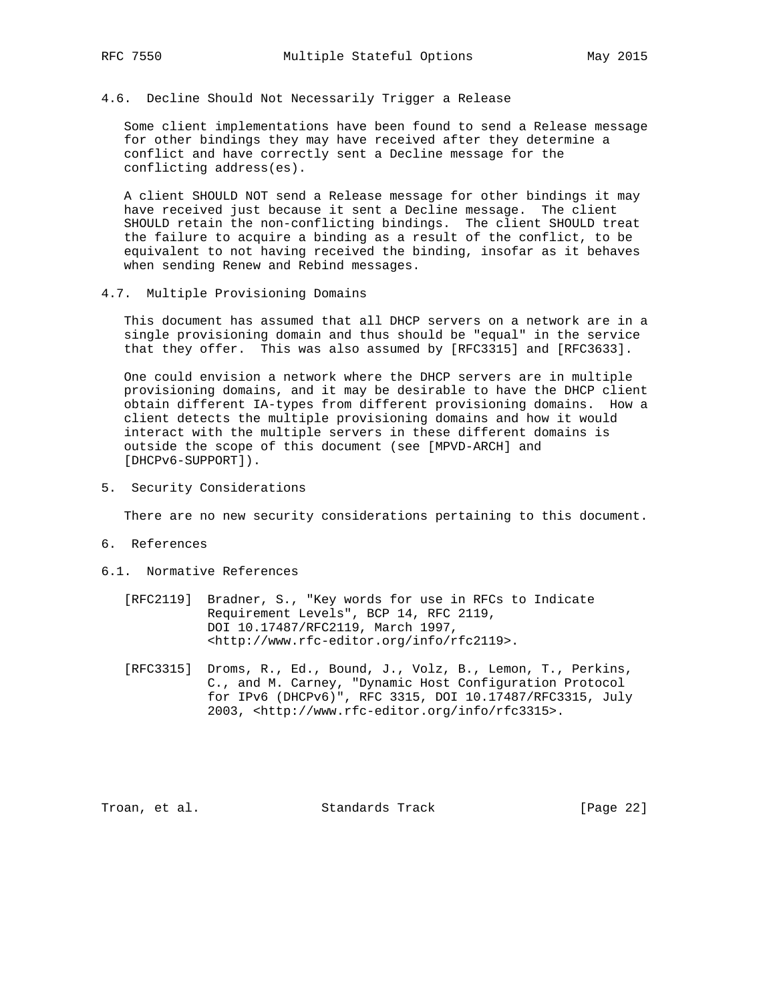## 4.6. Decline Should Not Necessarily Trigger a Release

 Some client implementations have been found to send a Release message for other bindings they may have received after they determine a conflict and have correctly sent a Decline message for the conflicting address(es).

 A client SHOULD NOT send a Release message for other bindings it may have received just because it sent a Decline message. The client SHOULD retain the non-conflicting bindings. The client SHOULD treat the failure to acquire a binding as a result of the conflict, to be equivalent to not having received the binding, insofar as it behaves when sending Renew and Rebind messages.

#### 4.7. Multiple Provisioning Domains

 This document has assumed that all DHCP servers on a network are in a single provisioning domain and thus should be "equal" in the service that they offer. This was also assumed by [RFC3315] and [RFC3633].

 One could envision a network where the DHCP servers are in multiple provisioning domains, and it may be desirable to have the DHCP client obtain different IA-types from different provisioning domains. How a client detects the multiple provisioning domains and how it would interact with the multiple servers in these different domains is outside the scope of this document (see [MPVD-ARCH] and [DHCPv6-SUPPORT]).

5. Security Considerations

There are no new security considerations pertaining to this document.

- 6. References
- 6.1. Normative References
	- [RFC2119] Bradner, S., "Key words for use in RFCs to Indicate Requirement Levels", BCP 14, RFC 2119, DOI 10.17487/RFC2119, March 1997, <http://www.rfc-editor.org/info/rfc2119>.
	- [RFC3315] Droms, R., Ed., Bound, J., Volz, B., Lemon, T., Perkins, C., and M. Carney, "Dynamic Host Configuration Protocol for IPv6 (DHCPv6)", RFC 3315, DOI 10.17487/RFC3315, July 2003, <http://www.rfc-editor.org/info/rfc3315>.

Troan, et al. Standards Track [Page 22]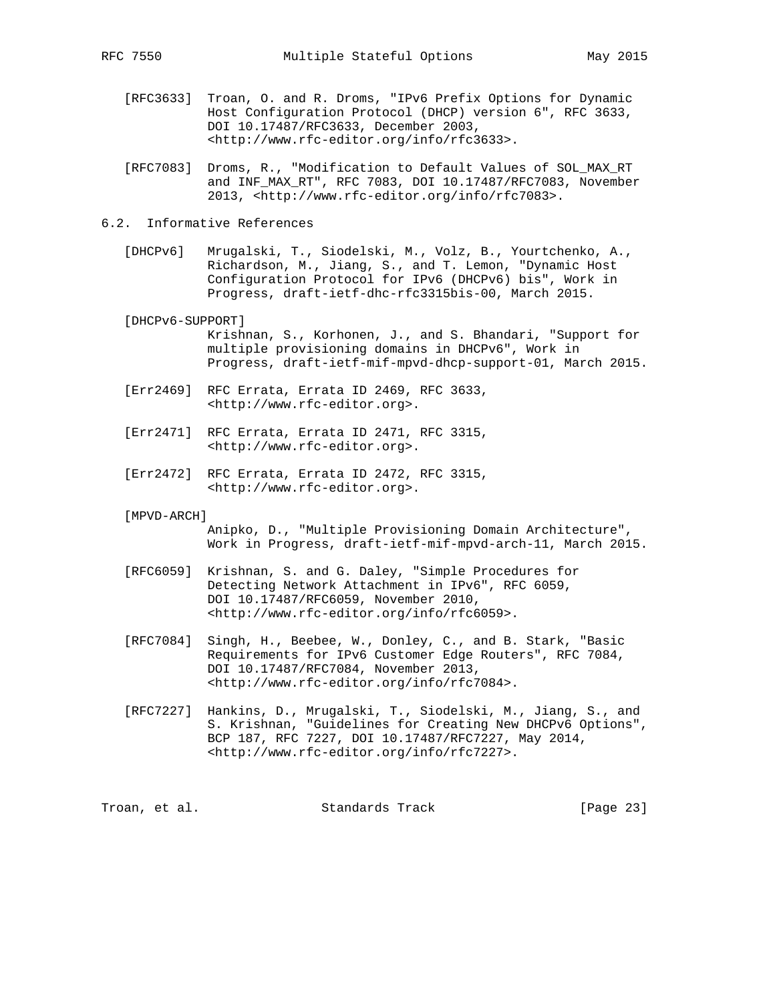- [RFC3633] Troan, O. and R. Droms, "IPv6 Prefix Options for Dynamic Host Configuration Protocol (DHCP) version 6", RFC 3633, DOI 10.17487/RFC3633, December 2003, <http://www.rfc-editor.org/info/rfc3633>.
- [RFC7083] Droms, R., "Modification to Default Values of SOL\_MAX\_RT and INF\_MAX\_RT", RFC 7083, DOI 10.17487/RFC7083, November 2013, <http://www.rfc-editor.org/info/rfc7083>.
- 6.2. Informative References
	- [DHCPv6] Mrugalski, T., Siodelski, M., Volz, B., Yourtchenko, A., Richardson, M., Jiang, S., and T. Lemon, "Dynamic Host Configuration Protocol for IPv6 (DHCPv6) bis", Work in Progress, draft-ietf-dhc-rfc3315bis-00, March 2015.
	- [DHCPv6-SUPPORT]
		- Krishnan, S., Korhonen, J., and S. Bhandari, "Support for multiple provisioning domains in DHCPv6", Work in Progress, draft-ietf-mif-mpvd-dhcp-support-01, March 2015.
	- [Err2469] RFC Errata, Errata ID 2469, RFC 3633, <http://www.rfc-editor.org>.
	- [Err2471] RFC Errata, Errata ID 2471, RFC 3315, <http://www.rfc-editor.org>.
	- [Err2472] RFC Errata, Errata ID 2472, RFC 3315, <http://www.rfc-editor.org>.
	- [MPVD-ARCH]

 Anipko, D., "Multiple Provisioning Domain Architecture", Work in Progress, draft-ietf-mif-mpvd-arch-11, March 2015.

- [RFC6059] Krishnan, S. and G. Daley, "Simple Procedures for Detecting Network Attachment in IPv6", RFC 6059, DOI 10.17487/RFC6059, November 2010, <http://www.rfc-editor.org/info/rfc6059>.
- [RFC7084] Singh, H., Beebee, W., Donley, C., and B. Stark, "Basic Requirements for IPv6 Customer Edge Routers", RFC 7084, DOI 10.17487/RFC7084, November 2013, <http://www.rfc-editor.org/info/rfc7084>.
- [RFC7227] Hankins, D., Mrugalski, T., Siodelski, M., Jiang, S., and S. Krishnan, "Guidelines for Creating New DHCPv6 Options", BCP 187, RFC 7227, DOI 10.17487/RFC7227, May 2014, <http://www.rfc-editor.org/info/rfc7227>.

Troan, et al. Standards Track [Page 23]